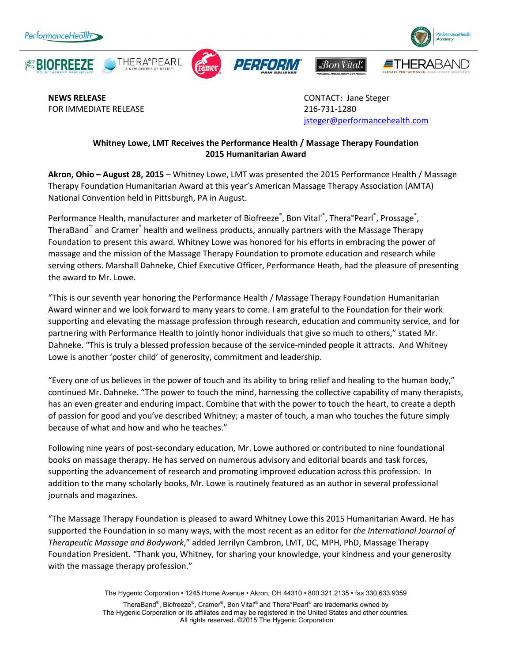









**NEWS RELEASE CONTACT:** Jane Steger FOR IMMEDIATE RELEASE 216-731-1280

jsteger@performancehealth.com

 $\mathscr{A}$  Son Vital's

## **Whitney Lowe, LMT Receives the Performance Health / Massage Therapy Foundation 2015 Humanitarian Award**

**Akron, Ohio – August 28, 2015** – Whitney Lowe, LMT was presented the 2015 Performance Health / Massage Therapy Foundation Humanitarian Award at this year's American Massage Therapy Association (AMTA) National Convention held in Pittsburgh, PA in August.

Performance Health, manufacturer and marketer of Biofreeze®, Bon Vital'®, Thera°Pearl®, Prossage®, TheraBand™ and Cramer® health and wellness products, annually partners with the Massage Therapy Foundation to present this award. Whitney Lowe was honored for his efforts in embracing the power of massage and the mission of the Massage Therapy Foundation to promote education and research while serving others. Marshall Dahneke, Chief Executive Officer, Performance Heath, had the pleasure of presenting the award to Mr. Lowe.

"This is our seventh year honoring the Performance Health / Massage Therapy Foundation Humanitarian Award winner and we look forward to many years to come. I am grateful to the Foundation for their work supporting and elevating the massage profession through research, education and community service, and for partnering with Performance Health to jointly honor individuals that give so much to others," stated Mr. Dahneke. "This is truly a blessed profession because of the service-minded people it attracts. And Whitney Lowe is another 'poster child' of generosity, commitment and leadership.

"Every one of us believes in the power of touch and its ability to bring relief and healing to the human body," continued Mr. Dahneke. "The power to touch the mind, harnessing the collective capability of many therapists, has an even greater and enduring impact. Combine that with the power to touch the heart, to create a depth of passion for good and you've described Whitney; a master of touch, a man who touches the future simply because of what and how and who he teaches."

Following nine years of post-secondary education, Mr. Lowe authored or contributed to nine foundational books on massage therapy. He has served on numerous advisory and editorial boards and task forces, supporting the advancement of research and promoting improved education across this profession. In addition to the many scholarly books, Mr. Lowe is routinely featured as an author in several professional journals and magazines.

"The Massage Therapy Foundation is pleased to award Whitney Lowe this 2015 Humanitarian Award. He has supported the Foundation in so many ways, with the most recent as an editor for *the International Journal of Therapeutic Massage and Bodywork*," added Jerrilyn Cambron, LMT, DC, MPH, PhD, Massage Therapy Foundation President. "Thank you, Whitney, for sharing your knowledge, your kindness and your generosity with the massage therapy profession."

> The Hygenic Corporation • 1245 Home Avenue • Akron, OH 44310 • 800.321.2135 • fax 330.633.9359 TheraBand®, Biofreeze®, Cramer®, Bon Vital'® and Thera°Pearl® are trademarks owned by The Hygenic Corporation or its affiliates and may be registered in the United States and other countries. All rights reserved. ©2015 The Hygenic Corporation